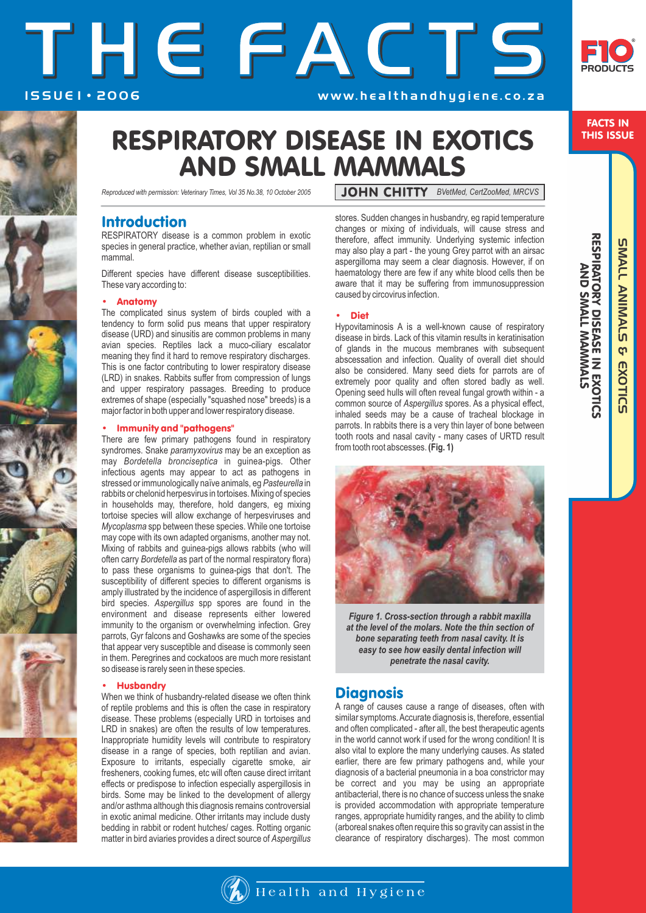# I S S U E 1 • 2 0 0 6 THE FACTS w w w. h e a l t h a n d h y g i e n e . c o . z a



FACTS IN THIS ISSUE

SMALL ANIMALS & EXOTIC

**SUALL ANIMALS** 

RESPIRATORY DISEASE IN EXOTIC RESPIRATORY DISEASE IN EXOTICS<br>AND SMALL MAMMALS AND SMALL MAMMALS

**S** EXOTICS

# RESPIRATORY DISEASE IN EXOTICS AND SMALL MAMMALS

*Reproduced with permission: Veterinary Times, Vol 35 No.38, 10 October 2005*

## Introduction

RESPIRATORY disease is a common problem in exotic species in general practice, whether avian, reptilian or small mammal.

Different species have different disease susceptibilities. These vary according to:

## • Anatomy

The complicated sinus system of birds coupled with a tendency to form solid pus means that upper respiratory disease (URD) and sinusitis are common problems in many avian species. Reptiles lack a muco-ciliary escalator meaning they find it hard to remove respiratory discharges. This is one factor contributing to lower respiratory disease (LRD) in snakes. Rabbits suffer from compression of lungs and upper respiratory passages. Breeding to produce extremes of shape (especially "squashed nose" breeds) is a major factor in both upper and lower respiratory disease.

#### • Immunity and "pathogens"

There are few primary pathogens found in respiratory syndromes. Snake *paramyxovirus* may be an exception as may *Bordetella bronciseptica* in guinea-pigs*.* Other infectious agents may appear to act as pathogens in stressed or immunologically naïve animals, eg *Pasteurella* in rabbits or chelonid herpesvirus in tortoises. Mixing of species in households may, therefore, hold dangers, eg mixing tortoise species will allow exchange of herpesviruses and *Mycoplasma* spp between these species. While one tortoise may cope with its own adapted organisms, another may not. Mixing of rabbits and guinea-pigs allows rabbits (who will often carry *Bordetella* as part of the normal respiratory flora) to pass these organisms to guinea-pigs that don't. The susceptibility of different species to different organisms is amply illustrated by the incidence of aspergillosis in different bird species. *Aspergillus* spp spores are found in the environment and disease represents either lowered immunity to the organism or overwhelming infection. Grey parrots, Gyr falcons and Goshawks are some of the species that appear very susceptible and disease is commonly seen in them. Peregrines and cockatoos are much more resistant so disease is rarely seen in these species.

#### **Husbandry**

When we think of husbandry-related disease we often think of reptile problems and this is often the case in respiratory disease. These problems (especially URD in tortoises and LRD in snakes) are often the results of low temperatures. Inappropriate humidity levels will contribute to respiratory disease in a range of species, both reptilian and avian. Exposure to irritants, especially cigarette smoke, air fresheners, cooking fumes, etc will often cause direct irritant effects or predispose to infection especially aspergillosis in birds. Some may be linked to the development of allergy and/or asthma although this diagnosis remains controversial in exotic animal medicine. Other irritants may include dusty bedding in rabbit or rodent hutches/ cages. Rotting organic matter in bird aviaries provides a direct source of *Aspergillus*  JOHN CHITTY *BVetMed, CertZooMed, MRCVS*

stores. Sudden changes in husbandry, eg rapid temperature changes or mixing of individuals, will cause stress and therefore, affect immunity. Underlying systemic infection may also play a part - the young Grey parrot with an airsac aspergilloma may seem a clear diagnosis. However, if on haematology there are few if any white blood cells then be aware that it may be suffering from immunosuppression caused by circovirus infection.

#### • Diet

Hypovitaminosis A is a well-known cause of respiratory disease in birds. Lack of this vitamin results in keratinisation of glands in the mucous membranes with subsequent abscessation and infection. Quality of overall diet should also be considered. Many seed diets for parrots are of extremely poor quality and often stored badly as well. Opening seed hulls will often reveal fungal growth within - a common source of *Aspergillus* spores. As a physical effect, inhaled seeds may be a cause of tracheal blockage in parrots. In rabbits there is a very thin layer of bone between tooth roots and nasal cavity - many cases of URTD result from tooth root abscesses. **(Fig. 1)**



*Figure 1. Cross-section through a rabbit maxilla at the level of the molars. Note the thin section of bone separating teeth from nasal cavity. It is easy to see how easily dental infection will penetrate the nasal cavity.*

## **Diagnosis**

A range of causes cause a range of diseases, often with similar symptoms. Accurate diagnosis is, therefore, essential and often complicated - after all, the best therapeutic agents in the world cannot work if used for the wrong condition! It is also vital to explore the many underlying causes. As stated earlier, there are few primary pathogens and, while your diagnosis of a bacterial pneumonia in a boa constrictor may be correct and you may be using an appropriate antibacterial, there is no chance of success unless the snake is provided accommodation with appropriate temperature ranges, appropriate humidity ranges, and the ability to climb (arboreal snakes often require this so gravity can assist in the clearance of respiratory discharges). The most common

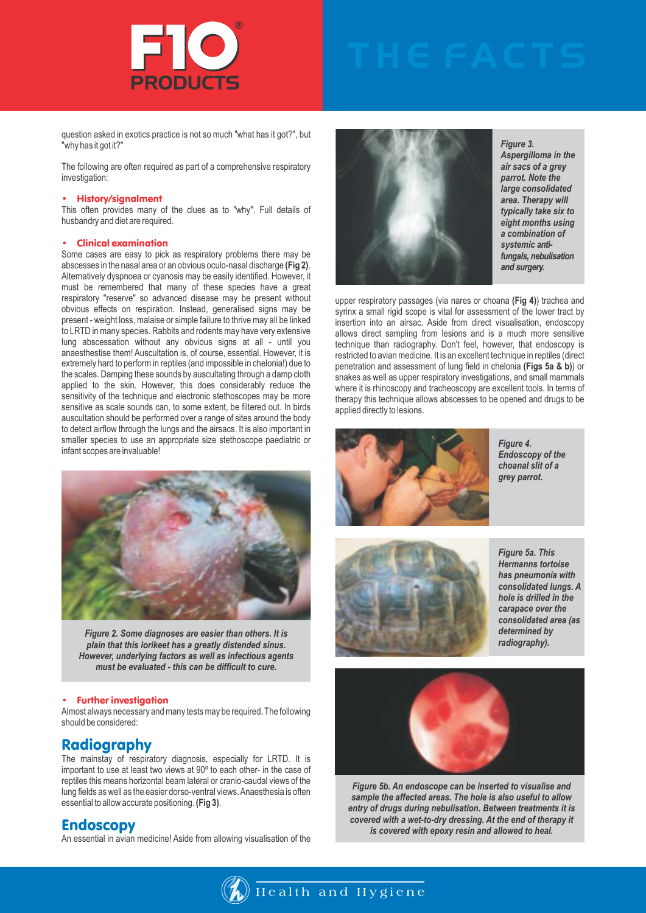

question asked in exotics practice is not so much "what has it got?", but "why has it got it?"

The following are often required as part of a comprehensive respiratory investigation:

#### • History/signalment

This often provides many of the clues as to "why". Full details of husbandry and diet are required.

### • Clinical examination

Some cases are easy to pick as respiratory problems there may be abscesses in the nasal area or an obvious oculo-nasal discharge **(Fig 2)**. Alternatively dyspnoea or cyanosis may be easily identified. However, it must be remembered that many of these species have a great respiratory "reserve" so advanced disease may be present without obvious effects on respiration. Instead, generalised signs may be present - weight loss, malaise or simple failure to thrive may all be linked to LRTD in many species. Rabbits and rodents may have very extensive lung abscessation without any obvious signs at all - until you anaesthestise them! Auscultation is, of course, essential. However, it is extremely hard to perform in reptiles (and impossible in chelonia!) due to the scales. Damping these sounds by auscultating through a damp cloth applied to the skin. However, this does considerably reduce the sensitivity of the technique and electronic stethoscopes may be more sensitive as scale sounds can, to some extent, be filtered out. In birds auscultation should be performed over a range of sites around the body to detect airflow through the lungs and the airsacs. It is also important in smaller species to use an appropriate size stethoscope paediatric or infant scopes are invaluable!



*Figure 2. Some diagnoses are easier than others. It is plain that this lorikeet has a greatly distended sinus. However, underlying factors as well as infectious agents must be evaluated - this can be difficult to cure.* 

#### • Further investigation

Almost always necessary and many tests may be required. The following should be considered:

## Radiography

The mainstay of respiratory diagnosis, especially for LRTD. It is important to use at least two views at 90º to each other- in the case of reptiles this means horizontal beam lateral or cranio-caudal views of the lung fields as well as the easier dorso-ventral views. Anaesthesia is often essential to allow accurate positioning. **(Fig 3)**.

## Endoscopy

An essential in avian medicine! Aside from allowing visualisation of the



*Figure 3. Aspergilloma in the air sacs of a grey parrot. Note the large consolidated area. Therapy will typically take six to eight months using a combination of systemic antifungals, nebulisation and surgery.*

upper respiratory passages (via nares or choana **(Fig 4)**) trachea and syrinx a small rigid scope is vital for assessment of the lower tract by insertion into an airsac. Aside from direct visualisation, endoscopy allows direct sampling from lesions and is a much more sensitive technique than radiography. Don't feel, however, that endoscopy is restricted to avian medicine. It is an excellent technique in reptiles (direct penetration and assessment of lung field in chelonia **(Figs 5a & b)**) or snakes as well as upper respiratory investigations, and small mammals where it is rhinoscopy and tracheoscopy are excellent tools. In terms of therapy this technique allows abscesses to be opened and drugs to be applied directly to lesions.



*Figure 4. Endoscopy of the choanal slit of a grey parrot.*



*Figure 5a. This Hermanns tortoise has pneumonia with consolidated lungs. A hole is drilled in the carapace over the consolidated area (as determined by radiography).*



*Figure 5b. An endoscope can be inserted to visualise and sample the affected areas. The hole is also useful to allow entry of drugs during nebulisation. Between treatments it is covered with a wet-to-dry dressing. At the end of therapy it is covered with epoxy resin and allowed to heal.*

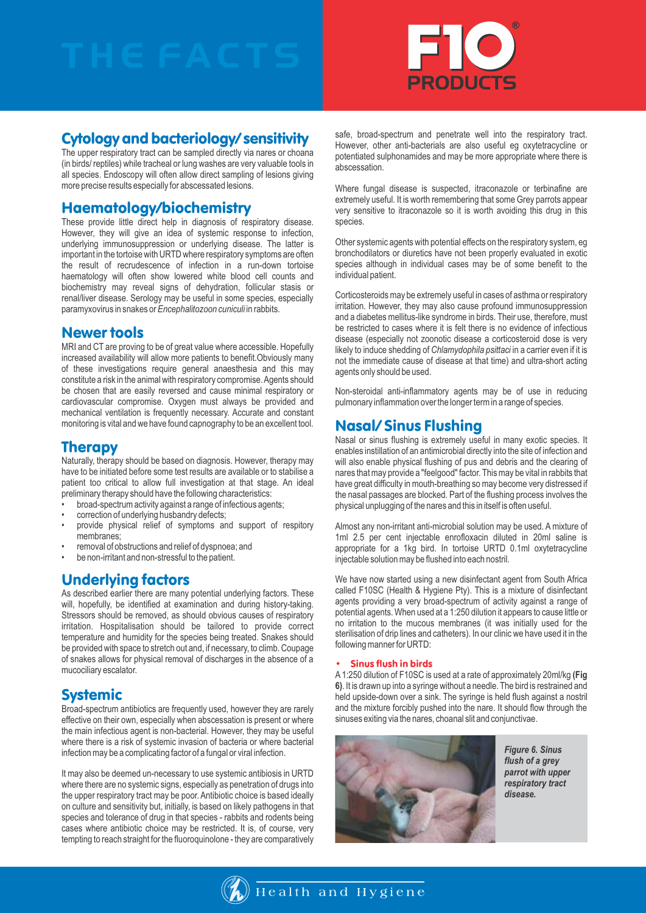

## Cytology and bacteriology/ sensitivity

The upper respiratory tract can be sampled directly via nares or choana (in birds/ reptiles) while tracheal or lung washes are very valuable tools in all species. Endoscopy will often allow direct sampling of lesions giving more precise results especially for abscessated lesions.

## Haematology/biochemistry

These provide little direct help in diagnosis of respiratory disease. However, they will give an idea of systemic response to infection, underlying immunosuppression or underlying disease. The latter is important in the tortoise with URTD where respiratory symptoms are often the result of recrudescence of infection in a run-down tortoise haematology will often show lowered white blood cell counts and biochemistry may reveal signs of dehydration, follicular stasis or renal/liver disease. Serology may be useful in some species, especially paramyxovirus in snakes or *Encephalitozoon cuniculi* in rabbits.

## Newer tools

MRI and CT are proving to be of great value where accessible. Hopefully increased availability will allow more patients to benefit.Obviously many of these investigations require general anaesthesia and this may constitute a risk in the animal with respiratory compromise. Agents should be chosen that are easily reversed and cause minimal respiratory or cardiovascular compromise. Oxygen must always be provided and mechanical ventilation is frequently necessary. Accurate and constant monitoring is vital and we have found capnography to be an excellent tool.

## **Therapy**

Naturally, therapy should be based on diagnosis. However, therapy may have to be initiated before some test results are available or to stabilise a patient too critical to allow full investigation at that stage. An ideal preliminary therapy should have the following characteristics:

- broad-spectrum activity against a range of infectious agents;
- correction of underlying husbandry defects;
- provide physical relief of symptoms and support of respitory membranes;
- removal of obstructions and relief of dyspnoea; and
- be non-irritant and non-stressful to the patient.

## Underlying factors

As described earlier there are many potential underlying factors. These will, hopefully, be identified at examination and during history-taking. Stressors should be removed, as should obvious causes of respiratory irritation. Hospitalisation should be tailored to provide correct temperature and humidity for the species being treated. Snakes should be provided with space to stretch out and, if necessary, to climb. Coupage of snakes allows for physical removal of discharges in the absence of a mucociliary escalator.

## **Systemic**

Broad-spectrum antibiotics are frequently used, however they are rarely effective on their own, especially when abscessation is present or where the main infectious agent is non-bacterial. However, they may be useful where there is a risk of systemic invasion of bacteria or where bacterial infection may be a complicating factor of a fungal or viral infection.

It may also be deemed un-necessary to use systemic antibiosis in URTD where there are no systemic signs, especially as penetration of drugs into the upper respiratory tract may be poor. Antibiotic choice is based ideally on culture and sensitivity but, initially, is based on likely pathogens in that species and tolerance of drug in that species - rabbits and rodents being cases where antibiotic choice may be restricted. It is, of course, very tempting to reach straight for the fluoroquinolone - they are comparatively

safe, broad-spectrum and penetrate well into the respiratory tract. However, other anti-bacterials are also useful eg oxytetracycline or potentiated sulphonamides and may be more appropriate where there is abscessation.

Where fungal disease is suspected, itraconazole or terbinafine are extremely useful. It is worth remembering that some Grey parrots appear very sensitive to itraconazole so it is worth avoiding this drug in this species.

Other systemic agents with potential effects on the respiratory system, eg bronchodilators or diuretics have not been properly evaluated in exotic species although in individual cases may be of some benefit to the individual patient.

Corticosteroids may be extremely useful in cases of asthma or respiratory irritation. However, they may also cause profound immunosuppression and a diabetes mellitus-like syndrome in birds. Their use, therefore, must be restricted to cases where it is felt there is no evidence of infectious disease (especially not zoonotic disease a corticosteroid dose is very likely to induce shedding of *Chlamydophila psittaci* in a carrier even if it is not the immediate cause of disease at that time) and ultra-short acting agents only should be used.

Non-steroidal anti-inflammatory agents may be of use in reducing pulmonary inflammation over the longer term in a range of species.

## Nasal/ Sinus Flushing

Nasal or sinus flushing is extremely useful in many exotic species. It enables instillation of an antimicrobial directly into the site of infection and will also enable physical flushing of pus and debris and the clearing of nares that may provide a "feelgood" factor. This may be vital in rabbits that have great difficulty in mouth-breathing so may become very distressed if the nasal passages are blocked. Part of the flushing process involves the physical unplugging of the nares and this in itself is often useful.

Almost any non-irritant anti-microbial solution may be used. Amixture of 1ml 2.5 per cent injectable enrofloxacin diluted in 20ml saline is appropriate for a 1kg bird. In tortoise URTD 0.1ml oxytetracycline injectable solution may be flushed into each nostril.

We have now started using a new disinfectant agent from South Africa called F10SC (Health & Hygiene Pty). This is a mixture of disinfectant agents providing a very broad-spectrum of activity against a range of potential agents. When used at a 1:250 dilution it appears to cause little or no irritation to the mucous membranes (it was initially used for the sterilisation of drip lines and catheters). In our clinic we have used it in the following manner for URTD:

## • Sinus flush in birds

A1:250 dilution of F10SC is used at a rate of approximately 20ml/kg **(Fig 6)**. It is drawn up into a syringe without a needle. The bird is restrained and held upside-down over a sink. The syringe is held flush against a nostril and the mixture forcibly pushed into the nare. It should flow through the sinuses exiting via the nares, choanal slit and conjunctivae.



*Figure 6. Sinus flush of a grey parrot with upper respiratory tract disease.*